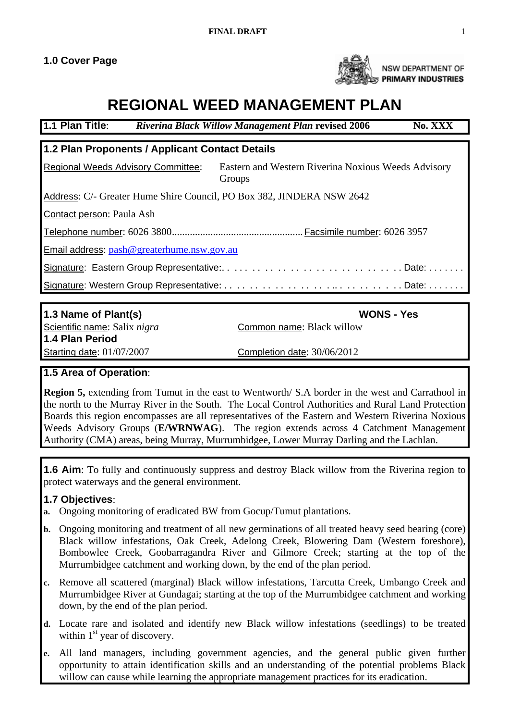

NSW DEPARTMENT OF PRIMARY INDUSTRIES

# **REGIONAL WEED MANAGEMENT PLAN**

| 1.1 Plan Title:                                                       | <b>Riverina Black Willow Management Plan revised 2006</b><br>No. XXX |  |  |
|-----------------------------------------------------------------------|----------------------------------------------------------------------|--|--|
| 1.2 Plan Proponents / Applicant Contact Details                       |                                                                      |  |  |
| <b>Regional Weeds Advisory Committee:</b>                             | Eastern and Western Riverina Noxious Weeds Advisory<br>Groups        |  |  |
| Address: C/- Greater Hume Shire Council, PO Box 382, JINDERA NSW 2642 |                                                                      |  |  |
| Contact person: Paula Ash                                             |                                                                      |  |  |
|                                                                       |                                                                      |  |  |
| Email address: pash@greaterhume.nsw.gov.au                            |                                                                      |  |  |
| Signature: Eastern Group Representative:Date:                         |                                                                      |  |  |
|                                                                       |                                                                      |  |  |
|                                                                       |                                                                      |  |  |
| 1.3 Name of Plant(s)                                                  | <b>WONS - Yes</b>                                                    |  |  |

**1.4 Plan Period** Starting date: 01/07/2007 Completion date: 30/06/2012

Scientific name: Salix *nigra* Common name: Black willow

# **1.5 Area of Operation**:

**Region 5,** extending from Tumut in the east to Wentworth/ S.A border in the west and Carrathool in the north to the Murray River in the South. The Local Control Authorities and Rural Land Protection Boards this region encompasses are all representatives of the Eastern and Western Riverina Noxious Weeds Advisory Groups (**E/WRNWAG**). The region extends across 4 Catchment Management Authority (CMA) areas, being Murray, Murrumbidgee, Lower Murray Darling and the Lachlan.

**1.6 Aim**: To fully and continuously suppress and destroy Black willow from the Riverina region to protect waterways and the general environment.

# **1.7 Objectives**:

- **a.** Ongoing monitoring of eradicated BW from Gocup/Tumut plantations.
- **b.** Ongoing monitoring and treatment of all new germinations of all treated heavy seed bearing (core) Black willow infestations, Oak Creek, Adelong Creek, Blowering Dam (Western foreshore), Bombowlee Creek, Goobarragandra River and Gilmore Creek; starting at the top of the Murrumbidgee catchment and working down, by the end of the plan period.
- **c.** Remove all scattered (marginal) Black willow infestations, Tarcutta Creek, Umbango Creek and Murrumbidgee River at Gundagai; starting at the top of the Murrumbidgee catchment and working down, by the end of the plan period.
- **d.** Locate rare and isolated and identify new Black willow infestations (seedlings) to be treated within  $1<sup>st</sup>$  year of discovery.
- **e.** All land managers, including government agencies, and the general public given further opportunity to attain identification skills and an understanding of the potential problems Black willow can cause while learning the appropriate management practices for its eradication.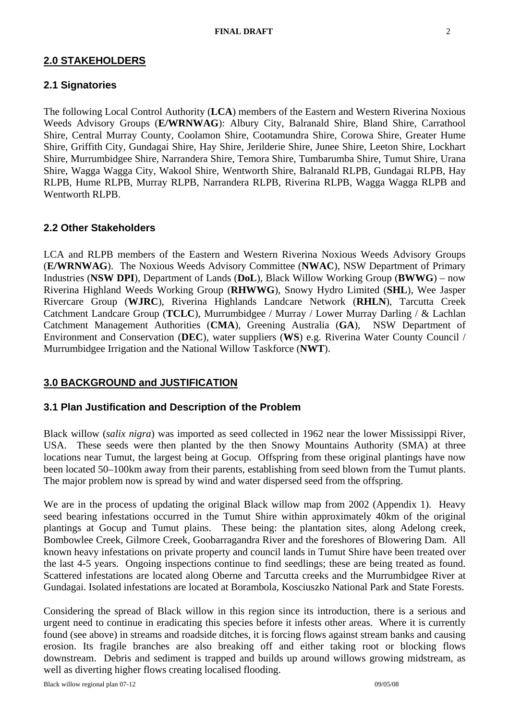#### **2.0 STAKEHOLDERS**

#### **2.1 Signatories**

The following Local Control Authority (**LCA**) members of the Eastern and Western Riverina Noxious Weeds Advisory Groups (**E/WRNWAG**): Albury City, Balranald Shire, Bland Shire, Carrathool Shire, Central Murray County, Coolamon Shire, Cootamundra Shire, Corowa Shire, Greater Hume Shire, Griffith City, Gundagai Shire, Hay Shire, Jerilderie Shire, Junee Shire, Leeton Shire, Lockhart Shire, Murrumbidgee Shire, Narrandera Shire, Temora Shire, Tumbarumba Shire, Tumut Shire, Urana Shire, Wagga Wagga City, Wakool Shire, Wentworth Shire, Balranald RLPB, Gundagai RLPB, Hay RLPB, Hume RLPB, Murray RLPB, Narrandera RLPB, Riverina RLPB, Wagga Wagga RLPB and Wentworth RLPB.

#### **2.2 Other Stakeholders**

LCA and RLPB members of the Eastern and Western Riverina Noxious Weeds Advisory Groups (**E/WRNWAG**). The Noxious Weeds Advisory Committee (**NWAC**), NSW Department of Primary Industries (**NSW DPI**), Department of Lands (**DoL**), Black Willow Working Group (**BWWG**) – now Riverina Highland Weeds Working Group (**RHWWG**), Snowy Hydro Limited (**SHL**), Wee Jasper Rivercare Group (**WJRC**), Riverina Highlands Landcare Network (**RHLN**), Tarcutta Creek Catchment Landcare Group (**TCLC**), Murrumbidgee / Murray / Lower Murray Darling / & Lachlan Catchment Management Authorities (**CMA**), Greening Australia (**GA**), NSW Department of Environment and Conservation (**DEC**), water suppliers (**WS**) e.g. Riverina Water County Council / Murrumbidgee Irrigation and the National Willow Taskforce (**NWT**).

#### **3.0 BACKGROUND and JUSTIFICATION**

#### **3.1 Plan Justification and Description of the Problem**

Black willow (*salix nigra*) was imported as seed collected in 1962 near the lower Mississippi River, USA. These seeds were then planted by the then Snowy Mountains Authority (SMA) at three locations near Tumut, the largest being at Gocup. Offspring from these original plantings have now been located 50–100km away from their parents, establishing from seed blown from the Tumut plants. The major problem now is spread by wind and water dispersed seed from the offspring.

We are in the process of updating the original Black willow map from 2002 (Appendix 1). Heavy seed bearing infestations occurred in the Tumut Shire within approximately 40km of the original plantings at Gocup and Tumut plains. These being: the plantation sites, along Adelong creek, Bombowlee Creek, Gilmore Creek, Goobarragandra River and the foreshores of Blowering Dam. All known heavy infestations on private property and council lands in Tumut Shire have been treated over the last 4-5 years. Ongoing inspections continue to find seedlings; these are being treated as found. Scattered infestations are located along Oberne and Tarcutta creeks and the Murrumbidgee River at Gundagai. Isolated infestations are located at Borambola, Kosciuszko National Park and State Forests.

Considering the spread of Black willow in this region since its introduction, there is a serious and urgent need to continue in eradicating this species before it infests other areas. Where it is currently found (see above) in streams and roadside ditches, it is forcing flows against stream banks and causing erosion. Its fragile branches are also breaking off and either taking root or blocking flows downstream. Debris and sediment is trapped and builds up around willows growing midstream, as well as diverting higher flows creating localised flooding.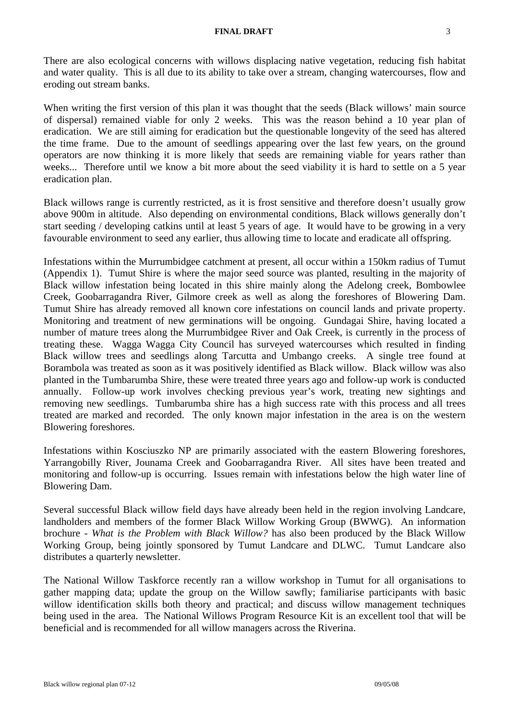#### **FINAL DRAFT** 3

There are also ecological concerns with willows displacing native vegetation, reducing fish habitat and water quality. This is all due to its ability to take over a stream, changing watercourses, flow and eroding out stream banks.

When writing the first version of this plan it was thought that the seeds (Black willows' main source of dispersal) remained viable for only 2 weeks. This was the reason behind a 10 year plan of eradication. We are still aiming for eradication but the questionable longevity of the seed has altered the time frame. Due to the amount of seedlings appearing over the last few years, on the ground operators are now thinking it is more likely that seeds are remaining viable for years rather than weeks... Therefore until we know a bit more about the seed viability it is hard to settle on a 5 year eradication plan.

Black willows range is currently restricted, as it is frost sensitive and therefore doesn't usually grow above 900m in altitude. Also depending on environmental conditions, Black willows generally don't start seeding / developing catkins until at least 5 years of age. It would have to be growing in a very favourable environment to seed any earlier, thus allowing time to locate and eradicate all offspring.

Infestations within the Murrumbidgee catchment at present, all occur within a 150km radius of Tumut (Appendix 1). Tumut Shire is where the major seed source was planted, resulting in the majority of Black willow infestation being located in this shire mainly along the Adelong creek, Bombowlee Creek, Goobarragandra River, Gilmore creek as well as along the foreshores of Blowering Dam. Tumut Shire has already removed all known core infestations on council lands and private property. Monitoring and treatment of new germinations will be ongoing. Gundagai Shire, having located a number of mature trees along the Murrumbidgee River and Oak Creek, is currently in the process of treating these. Wagga Wagga City Council has surveyed watercourses which resulted in finding Black willow trees and seedlings along Tarcutta and Umbango creeks. A single tree found at Borambola was treated as soon as it was positively identified as Black willow. Black willow was also planted in the Tumbarumba Shire, these were treated three years ago and follow-up work is conducted annually. Follow-up work involves checking previous year's work, treating new sightings and removing new seedlings. Tumbarumba shire has a high success rate with this process and all trees treated are marked and recorded. The only known major infestation in the area is on the western Blowering foreshores.

Infestations within Kosciuszko NP are primarily associated with the eastern Blowering foreshores, Yarrangobilly River, Jounama Creek and Goobarragandra River. All sites have been treated and monitoring and follow-up is occurring. Issues remain with infestations below the high water line of Blowering Dam.

Several successful Black willow field days have already been held in the region involving Landcare, landholders and members of the former Black Willow Working Group (BWWG). An information brochure - *What is the Problem with Black Willow?* has also been produced by the Black Willow Working Group, being jointly sponsored by Tumut Landcare and DLWC. Tumut Landcare also distributes a quarterly newsletter.

The National Willow Taskforce recently ran a willow workshop in Tumut for all organisations to gather mapping data; update the group on the Willow sawfly; familiarise participants with basic willow identification skills both theory and practical; and discuss willow management techniques being used in the area. The National Willows Program Resource Kit is an excellent tool that will be beneficial and is recommended for all willow managers across the Riverina.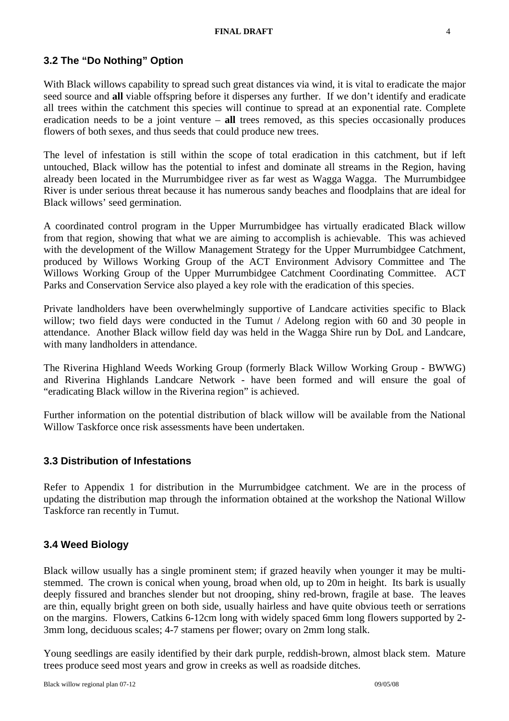#### **3.2 The "Do Nothing" Option**

With Black willows capability to spread such great distances via wind, it is vital to eradicate the major seed source and **all** viable offspring before it disperses any further. If we don't identify and eradicate all trees within the catchment this species will continue to spread at an exponential rate. Complete eradication needs to be a joint venture – **all** trees removed, as this species occasionally produces flowers of both sexes, and thus seeds that could produce new trees.

The level of infestation is still within the scope of total eradication in this catchment, but if left untouched, Black willow has the potential to infest and dominate all streams in the Region, having already been located in the Murrumbidgee river as far west as Wagga Wagga. The Murrumbidgee River is under serious threat because it has numerous sandy beaches and floodplains that are ideal for Black willows' seed germination.

A coordinated control program in the Upper Murrumbidgee has virtually eradicated Black willow from that region, showing that what we are aiming to accomplish is achievable. This was achieved with the development of the Willow Management Strategy for the Upper Murrumbidgee Catchment, produced by Willows Working Group of the ACT Environment Advisory Committee and The Willows Working Group of the Upper Murrumbidgee Catchment Coordinating Committee. ACT Parks and Conservation Service also played a key role with the eradication of this species.

Private landholders have been overwhelmingly supportive of Landcare activities specific to Black willow; two field days were conducted in the Tumut / Adelong region with 60 and 30 people in attendance. Another Black willow field day was held in the Wagga Shire run by DoL and Landcare, with many landholders in attendance.

The Riverina Highland Weeds Working Group (formerly Black Willow Working Group - BWWG) and Riverina Highlands Landcare Network - have been formed and will ensure the goal of "eradicating Black willow in the Riverina region" is achieved.

Further information on the potential distribution of black willow will be available from the National Willow Taskforce once risk assessments have been undertaken.

#### **3.3 Distribution of Infestations**

Refer to Appendix 1 for distribution in the Murrumbidgee catchment. We are in the process of updating the distribution map through the information obtained at the workshop the National Willow Taskforce ran recently in Tumut.

#### **3.4 Weed Biology**

Black willow usually has a single prominent stem; if grazed heavily when younger it may be multistemmed. The crown is conical when young, broad when old, up to 20m in height. Its bark is usually deeply fissured and branches slender but not drooping, shiny red-brown, fragile at base. The leaves are thin, equally bright green on both side, usually hairless and have quite obvious teeth or serrations on the margins. Flowers, Catkins 6-12cm long with widely spaced 6mm long flowers supported by 2- 3mm long, deciduous scales; 4-7 stamens per flower; ovary on 2mm long stalk.

Young seedlings are easily identified by their dark purple, reddish-brown, almost black stem. Mature trees produce seed most years and grow in creeks as well as roadside ditches.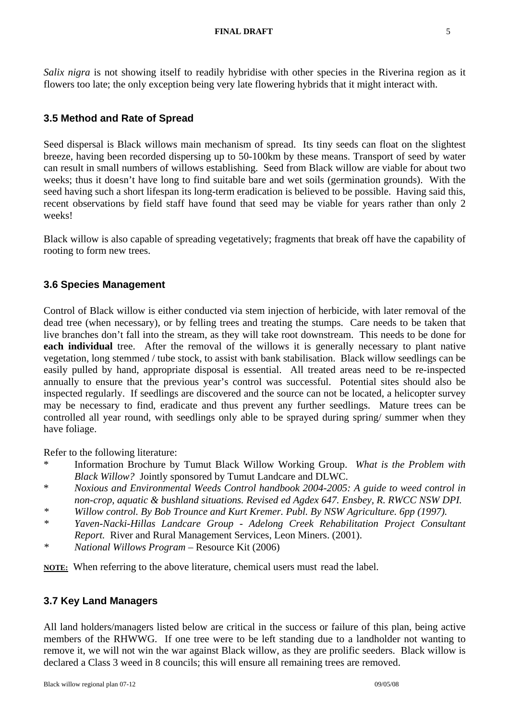*Salix nigra* is not showing itself to readily hybridise with other species in the Riverina region as it flowers too late; the only exception being very late flowering hybrids that it might interact with.

#### **3.5 Method and Rate of Spread**

Seed dispersal is Black willows main mechanism of spread. Its tiny seeds can float on the slightest breeze, having been recorded dispersing up to 50-100km by these means. Transport of seed by water can result in small numbers of willows establishing. Seed from Black willow are viable for about two weeks; thus it doesn't have long to find suitable bare and wet soils (germination grounds). With the seed having such a short lifespan its long-term eradication is believed to be possible. Having said this, recent observations by field staff have found that seed may be viable for years rather than only 2 weeks!

Black willow is also capable of spreading vegetatively; fragments that break off have the capability of rooting to form new trees.

#### **3.6 Species Management**

Control of Black willow is either conducted via stem injection of herbicide, with later removal of the dead tree (when necessary), or by felling trees and treating the stumps. Care needs to be taken that live branches don't fall into the stream, as they will take root downstream. This needs to be done for **each individual** tree. After the removal of the willows it is generally necessary to plant native vegetation, long stemmed / tube stock, to assist with bank stabilisation. Black willow seedlings can be easily pulled by hand, appropriate disposal is essential. All treated areas need to be re-inspected annually to ensure that the previous year's control was successful. Potential sites should also be inspected regularly. If seedlings are discovered and the source can not be located, a helicopter survey may be necessary to find, eradicate and thus prevent any further seedlings. Mature trees can be controlled all year round, with seedlings only able to be sprayed during spring/ summer when they have foliage.

Refer to the following literature:

- \* Information Brochure by Tumut Black Willow Working Group. *What is the Problem with Black Willow?* Jointly sponsored by Tumut Landcare and DLWC.
- \* *Noxious and Environmental Weeds Control handbook 2004-2005: A guide to weed control in non-crop, aquatic & bushland situations. Revised ed Agdex 647. Ensbey, R. RWCC NSW DPI.*
- *\* Willow control. By Bob Trounce and Kurt Kremer. Publ. By NSW Agriculture. 6pp (1997).*
- *\* Yaven-Nacki-Hillas Landcare Group Adelong Creek Rehabilitation Project Consultant Report.* River and Rural Management Services, Leon Miners. (2001).
- *\* National Willows Program –* Resource Kit (2006)

**NOTE:** When referring to the above literature, chemical users must read the label.

#### **3.7 Key Land Managers**

All land holders/managers listed below are critical in the success or failure of this plan, being active members of the RHWWG. If one tree were to be left standing due to a landholder not wanting to remove it, we will not win the war against Black willow, as they are prolific seeders. Black willow is declared a Class 3 weed in 8 councils; this will ensure all remaining trees are removed.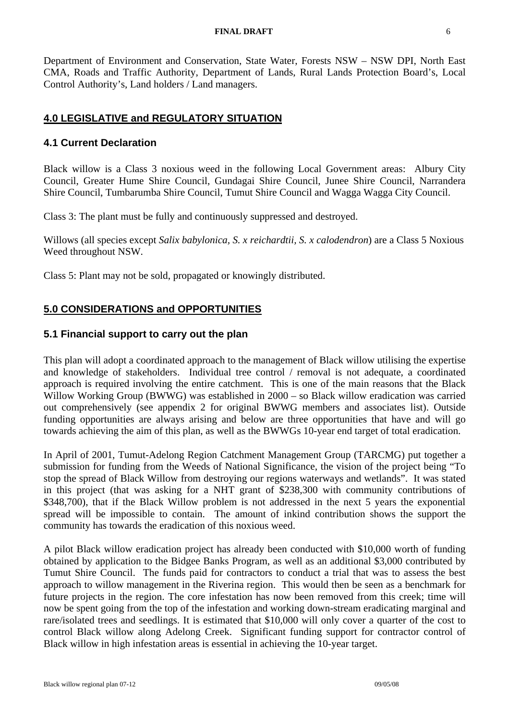#### **FINAL DRAFT** 6

Department of Environment and Conservation, State Water, Forests NSW – NSW DPI, North East CMA, Roads and Traffic Authority, Department of Lands, Rural Lands Protection Board's, Local Control Authority's, Land holders / Land managers.

# **4.0 LEGISLATIVE and REGULATORY SITUATION**

#### **4.1 Current Declaration**

Black willow is a Class 3 noxious weed in the following Local Government areas: Albury City Council, Greater Hume Shire Council, Gundagai Shire Council, Junee Shire Council, Narrandera Shire Council, Tumbarumba Shire Council, Tumut Shire Council and Wagga Wagga City Council.

Class 3: The plant must be fully and continuously suppressed and destroyed.

Willows (all species except *Salix babylonica, S. x reichardtii, S. x calodendron*) are a Class 5 Noxious Weed throughout NSW.

Class 5: Plant may not be sold, propagated or knowingly distributed.

#### **5.0 CONSIDERATIONS and OPPORTUNITIES**

#### **5.1 Financial support to carry out the plan**

This plan will adopt a coordinated approach to the management of Black willow utilising the expertise and knowledge of stakeholders. Individual tree control / removal is not adequate, a coordinated approach is required involving the entire catchment. This is one of the main reasons that the Black Willow Working Group (BWWG) was established in 2000 – so Black willow eradication was carried out comprehensively (see appendix 2 for original BWWG members and associates list). Outside funding opportunities are always arising and below are three opportunities that have and will go towards achieving the aim of this plan, as well as the BWWGs 10-year end target of total eradication.

In April of 2001, Tumut-Adelong Region Catchment Management Group (TARCMG) put together a submission for funding from the Weeds of National Significance, the vision of the project being "To stop the spread of Black Willow from destroying our regions waterways and wetlands". It was stated in this project (that was asking for a NHT grant of \$238,300 with community contributions of \$348,700), that if the Black Willow problem is not addressed in the next 5 years the exponential spread will be impossible to contain. The amount of inkind contribution shows the support the community has towards the eradication of this noxious weed.

A pilot Black willow eradication project has already been conducted with \$10,000 worth of funding obtained by application to the Bidgee Banks Program, as well as an additional \$3,000 contributed by Tumut Shire Council. The funds paid for contractors to conduct a trial that was to assess the best approach to willow management in the Riverina region. This would then be seen as a benchmark for future projects in the region. The core infestation has now been removed from this creek; time will now be spent going from the top of the infestation and working down-stream eradicating marginal and rare/isolated trees and seedlings. It is estimated that \$10,000 will only cover a quarter of the cost to control Black willow along Adelong Creek. Significant funding support for contractor control of Black willow in high infestation areas is essential in achieving the 10-year target.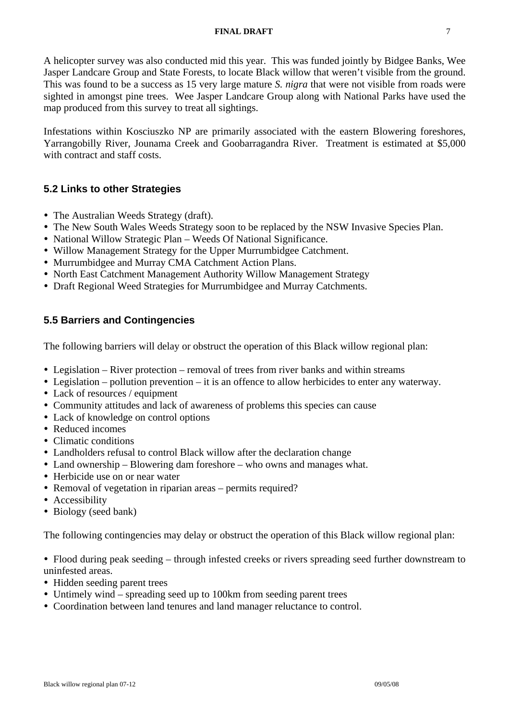#### **FINAL DRAFT** 7

A helicopter survey was also conducted mid this year. This was funded jointly by Bidgee Banks, Wee Jasper Landcare Group and State Forests, to locate Black willow that weren't visible from the ground. This was found to be a success as 15 very large mature *S. nigra* that were not visible from roads were sighted in amongst pine trees. Wee Jasper Landcare Group along with National Parks have used the map produced from this survey to treat all sightings.

Infestations within Kosciuszko NP are primarily associated with the eastern Blowering foreshores, Yarrangobilly River, Jounama Creek and Goobarragandra River. Treatment is estimated at \$5,000 with contract and staff costs.

# **5.2 Links to other Strategies**

- The Australian Weeds Strategy (draft).
- The New South Wales Weeds Strategy soon to be replaced by the NSW Invasive Species Plan.
- National Willow Strategic Plan Weeds Of National Significance.
- Willow Management Strategy for the Upper Murrumbidgee Catchment.
- Murrumbidgee and Murray CMA Catchment Action Plans.
- North East Catchment Management Authority Willow Management Strategy
- Draft Regional Weed Strategies for Murrumbidgee and Murray Catchments.

# **5.5 Barriers and Contingencies**

The following barriers will delay or obstruct the operation of this Black willow regional plan:

- $\bullet$  Legislation River protection removal of trees from river banks and within streams
- Legislation pollution prevention it is an offence to allow herbicides to enter any waterway.
- Lack of resources / equipment
- Community attitudes and lack of awareness of problems this species can cause
- Lack of knowledge on control options
- Reduced incomes
- Climatic conditions
- Landholders refusal to control Black willow after the declaration change
- Land ownership Blowering dam foreshore who owns and manages what.
- Herbicide use on or near water
- Removal of vegetation in riparian areas permits required?
- Accessibility
- Biology (seed bank)

The following contingencies may delay or obstruct the operation of this Black willow regional plan:

• Flood during peak seeding – through infested creeks or rivers spreading seed further downstream to uninfested areas.

- Hidden seeding parent trees
- Untimely wind spreading seed up to 100km from seeding parent trees
- Coordination between land tenures and land manager reluctance to control.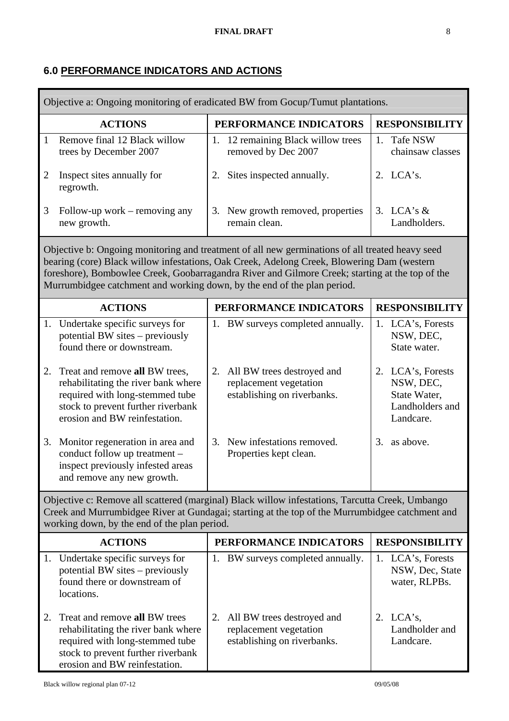# **6.0 PERFORMANCE INDICATORS AND ACTIONS**

I

| Objective a: Ongoing monitoring of eradicated BW from Gocup/Tumut plantations.                                                                                                                                                                                                                                                                                              |                                                                                                                                                                                 |                        |                                                                                     |                       |                                                                                |
|-----------------------------------------------------------------------------------------------------------------------------------------------------------------------------------------------------------------------------------------------------------------------------------------------------------------------------------------------------------------------------|---------------------------------------------------------------------------------------------------------------------------------------------------------------------------------|------------------------|-------------------------------------------------------------------------------------|-----------------------|--------------------------------------------------------------------------------|
|                                                                                                                                                                                                                                                                                                                                                                             | <b>ACTIONS</b>                                                                                                                                                                  | PERFORMANCE INDICATORS |                                                                                     | <b>RESPONSIBILITY</b> |                                                                                |
| $\mathbf{1}$                                                                                                                                                                                                                                                                                                                                                                | Remove final 12 Black willow<br>trees by December 2007                                                                                                                          | 1.                     | 12 remaining Black willow trees<br>removed by Dec 2007                              |                       | 1. Tafe NSW<br>chainsaw classes                                                |
| $\overline{2}$                                                                                                                                                                                                                                                                                                                                                              | Inspect sites annually for<br>regrowth.                                                                                                                                         | 2.                     | Sites inspected annually.                                                           |                       | 2. LCA's.                                                                      |
| 3                                                                                                                                                                                                                                                                                                                                                                           | Follow-up work – removing any<br>new growth.                                                                                                                                    | 3.                     | New growth removed, properties<br>remain clean.                                     |                       | 3. LCA's $&$<br>Landholders.                                                   |
| Objective b: Ongoing monitoring and treatment of all new germinations of all treated heavy seed<br>bearing (core) Black willow infestations, Oak Creek, Adelong Creek, Blowering Dam (western<br>foreshore), Bombowlee Creek, Goobarragandra River and Gilmore Creek; starting at the top of the<br>Murrumbidgee catchment and working down, by the end of the plan period. |                                                                                                                                                                                 |                        |                                                                                     |                       |                                                                                |
|                                                                                                                                                                                                                                                                                                                                                                             | <b>ACTIONS</b>                                                                                                                                                                  |                        | PERFORMANCE INDICATORS                                                              |                       | <b>RESPONSIBILITY</b>                                                          |
|                                                                                                                                                                                                                                                                                                                                                                             | 1. Undertake specific surveys for<br>potential BW sites – previously<br>found there or downstream.                                                                              |                        | 1. BW surveys completed annually.                                                   |                       | 1. LCA's, Forests<br>NSW, DEC,<br>State water.                                 |
| 2.                                                                                                                                                                                                                                                                                                                                                                          | Treat and remove all BW trees,<br>rehabilitating the river bank where<br>required with long-stemmed tube<br>stock to prevent further riverbank<br>erosion and BW reinfestation. | 2.                     | All BW trees destroyed and<br>replacement vegetation<br>establishing on riverbanks. |                       | 2. LCA's, Forests<br>NSW, DEC,<br>State Water,<br>Landholders and<br>Landcare. |
| 3.                                                                                                                                                                                                                                                                                                                                                                          | Monitor regeneration in area and<br>conduct follow up treatment -<br>inspect previously infested areas<br>and remove any new growth.                                            | 3.                     | New infestations removed.<br>Properties kept clean.                                 |                       | 3. as above.                                                                   |
| Objective c: Remove all scattered (marginal) Black willow infestations, Tarcutta Creek, Umbango<br>Creek and Murrumbidgee River at Gundagai; starting at the top of the Murrumbidgee catchment and<br>working down, by the end of the plan period.                                                                                                                          |                                                                                                                                                                                 |                        |                                                                                     |                       |                                                                                |
|                                                                                                                                                                                                                                                                                                                                                                             | <b>ACTIONS</b>                                                                                                                                                                  |                        | PERFORMANCE INDICATORS                                                              |                       | <b>RESPONSIBILITY</b>                                                          |
|                                                                                                                                                                                                                                                                                                                                                                             | 1. Undertake specific surveys for<br>potential BW sites - previously<br>found there or downstream of<br>locations.                                                              |                        | 1. BW surveys completed annually.                                                   |                       | 1. LCA's, Forests<br>NSW, Dec, State<br>water, RLPBs.                          |
| 2.                                                                                                                                                                                                                                                                                                                                                                          | Treat and remove all BW trees<br>rehabilitating the river bank where<br>required with long-stemmed tube<br>stock to prevent further riverbank<br>erosion and BW reinfestation.  | 2.                     | All BW trees destroyed and<br>replacement vegetation<br>establishing on riverbanks. |                       | 2. $LCA's$ ,<br>Landholder and<br>Landcare.                                    |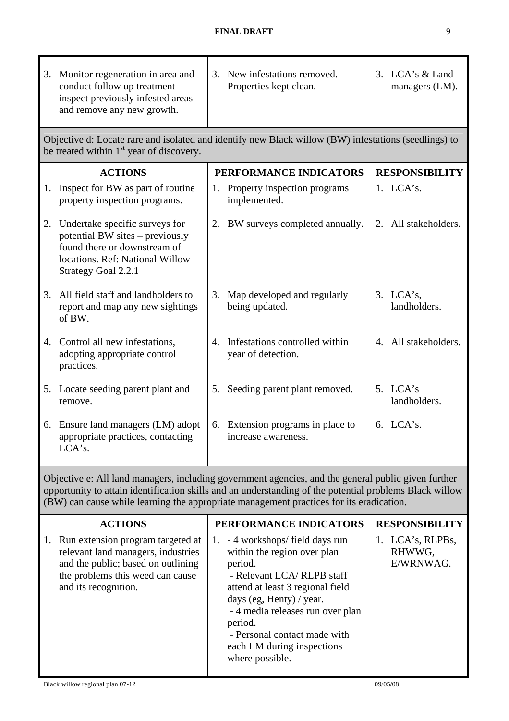|                                                                                                                                                              | 3. Monitor regeneration in area and<br>conduct follow up treatment -<br>inspect previously infested areas<br>and remove any new growth.                        |    | 3. New infestations removed.<br>Properties kept clean.   |  | 3. LCA's & Land<br>managers (LM). |
|--------------------------------------------------------------------------------------------------------------------------------------------------------------|----------------------------------------------------------------------------------------------------------------------------------------------------------------|----|----------------------------------------------------------|--|-----------------------------------|
| Objective d: Locate rare and isolated and identify new Black willow (BW) infestations (seedlings) to<br>be treated within 1 <sup>st</sup> year of discovery. |                                                                                                                                                                |    |                                                          |  |                                   |
|                                                                                                                                                              | <b>ACTIONS</b>                                                                                                                                                 |    | PERFORMANCE INDICATORS                                   |  | <b>RESPONSIBILITY</b>             |
|                                                                                                                                                              | 1. Inspect for BW as part of routine<br>property inspection programs.                                                                                          |    | 1. Property inspection programs<br>implemented.          |  | $1.$ LCA's.                       |
|                                                                                                                                                              | 2. Undertake specific surveys for<br>potential BW sites – previously<br>found there or downstream of<br>locations. Ref: National Willow<br>Strategy Goal 2.2.1 |    | 2. BW surveys completed annually.                        |  | 2. All stakeholders.              |
|                                                                                                                                                              | 3. All field staff and landholders to<br>report and map any new sightings<br>of BW.                                                                            | 3. | Map developed and regularly<br>being updated.            |  | 3. LCA's,<br>landholders.         |
|                                                                                                                                                              | 4. Control all new infestations,<br>adopting appropriate control<br>practices.                                                                                 |    | 4. Infestations controlled within<br>year of detection.  |  | 4. All stakeholders.              |
|                                                                                                                                                              | 5. Locate seeding parent plant and<br>remove.                                                                                                                  | 5. | Seeding parent plant removed.                            |  | 5. $LCA's$<br>landholders.        |
|                                                                                                                                                              | 6. Ensure land managers (LM) adopt<br>appropriate practices, contacting<br>LCA's.                                                                              |    | 6. Extension programs in place to<br>increase awareness. |  | 6. $LCA's$ .                      |

Objective e: All land managers, including government agencies, and the general public given further opportunity to attain identification skills and an understanding of the potential problems Black willow (BW) can cause while learning the appropriate management practices for its eradication.

| <b>ACTIONS</b>                                                                                                                                                               | PERFORMANCE INDICATORS                                                                                                                                                                                                                                                                                     | <b>RESPONSIBILITY</b>                   |
|------------------------------------------------------------------------------------------------------------------------------------------------------------------------------|------------------------------------------------------------------------------------------------------------------------------------------------------------------------------------------------------------------------------------------------------------------------------------------------------------|-----------------------------------------|
| 1. Run extension program targeted at<br>relevant land managers, industries<br>and the public; based on outlining<br>the problems this weed can cause<br>and its recognition. | - 4 workshops/field days run<br>1.<br>within the region over plan<br>period.<br>- Relevant LCA/ RLPB staff<br>attend at least 3 regional field<br>days (eg, Henty) / year.<br>- 4 media releases run over plan<br>period.<br>- Personal contact made with<br>each LM during inspections<br>where possible. | 1. LCA's, RLPBs,<br>RHWWG,<br>E/WRNWAG. |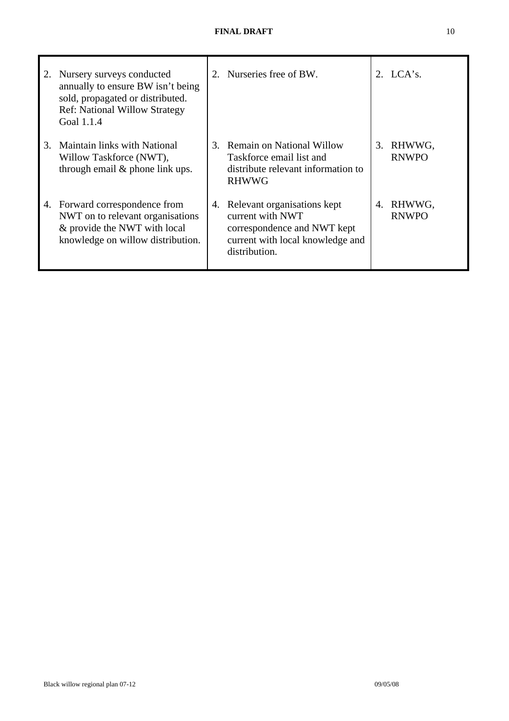| 2. | Nursery surveys conducted<br>annually to ensure BW isn't being<br>sold, propagated or distributed.<br><b>Ref: National Willow Strategy</b><br>Goal 1.1.4 |    | 2. Nurseries free of BW.                                                                                                            |    | 2. $LCA's$ .           |
|----|----------------------------------------------------------------------------------------------------------------------------------------------------------|----|-------------------------------------------------------------------------------------------------------------------------------------|----|------------------------|
| 3. | Maintain links with National<br>Willow Taskforce (NWT),<br>through email & phone link ups.                                                               | 3. | <b>Remain on National Willow</b><br>Taskforce email list and<br>distribute relevant information to<br><b>RHWWG</b>                  | 3. | RHWWG,<br><b>RNWPO</b> |
|    | 4. Forward correspondence from<br>NWT on to relevant organisations<br>& provide the NWT with local<br>knowledge on willow distribution.                  | 4. | Relevant organisations kept<br>current with NWT<br>correspondence and NWT kept<br>current with local knowledge and<br>distribution. | 4. | RHWWG,<br><b>RNWPO</b> |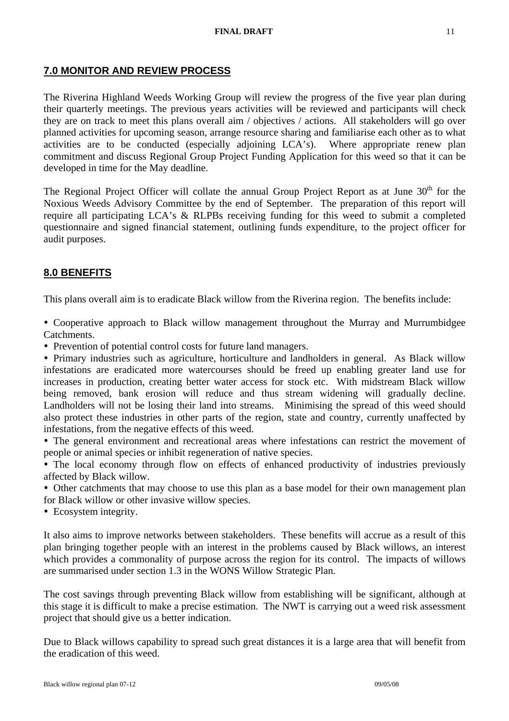## **7.0 MONITOR AND REVIEW PROCESS**

The Riverina Highland Weeds Working Group will review the progress of the five year plan during their quarterly meetings. The previous years activities will be reviewed and participants will check they are on track to meet this plans overall aim / objectives / actions. All stakeholders will go over planned activities for upcoming season, arrange resource sharing and familiarise each other as to what activities are to be conducted (especially adjoining LCA's). Where appropriate renew plan commitment and discuss Regional Group Project Funding Application for this weed so that it can be developed in time for the May deadline.

The Regional Project Officer will collate the annual Group Project Report as at June  $30<sup>th</sup>$  for the Noxious Weeds Advisory Committee by the end of September. The preparation of this report will require all participating LCA's & RLPBs receiving funding for this weed to submit a completed questionnaire and signed financial statement, outlining funds expenditure, to the project officer for audit purposes.

# **8.0 BENEFITS**

This plans overall aim is to eradicate Black willow from the Riverina region. The benefits include:

• Cooperative approach to Black willow management throughout the Murray and Murrumbidgee Catchments.

• Prevention of potential control costs for future land managers.

• Primary industries such as agriculture, horticulture and landholders in general. As Black willow infestations are eradicated more watercourses should be freed up enabling greater land use for increases in production, creating better water access for stock etc. With midstream Black willow being removed, bank erosion will reduce and thus stream widening will gradually decline. Landholders will not be losing their land into streams. Minimising the spread of this weed should also protect these industries in other parts of the region, state and country, currently unaffected by infestations, from the negative effects of this weed.

• The general environment and recreational areas where infestations can restrict the movement of people or animal species or inhibit regeneration of native species.

• The local economy through flow on effects of enhanced productivity of industries previously affected by Black willow.

• Other catchments that may choose to use this plan as a base model for their own management plan for Black willow or other invasive willow species.

• Ecosystem integrity.

It also aims to improve networks between stakeholders. These benefits will accrue as a result of this plan bringing together people with an interest in the problems caused by Black willows, an interest which provides a commonality of purpose across the region for its control. The impacts of willows are summarised under section 1.3 in the WONS Willow Strategic Plan.

The cost savings through preventing Black willow from establishing will be significant, although at this stage it is difficult to make a precise estimation. The NWT is carrying out a weed risk assessment project that should give us a better indication.

Due to Black willows capability to spread such great distances it is a large area that will benefit from the eradication of this weed.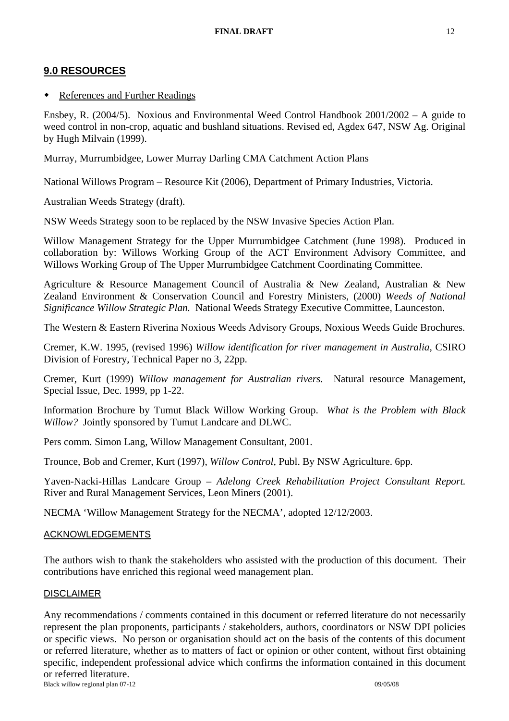# **9.0 RESOURCES**

#### References and Further Readings

Ensbey, R. (2004/5). Noxious and Environmental Weed Control Handbook 2001/2002 – A guide to weed control in non-crop, aquatic and bushland situations. Revised ed, Agdex 647, NSW Ag. Original by Hugh Milvain (1999).

Murray, Murrumbidgee, Lower Murray Darling CMA Catchment Action Plans

National Willows Program – Resource Kit (2006), Department of Primary Industries, Victoria.

Australian Weeds Strategy (draft).

NSW Weeds Strategy soon to be replaced by the NSW Invasive Species Action Plan.

Willow Management Strategy for the Upper Murrumbidgee Catchment (June 1998). Produced in collaboration by: Willows Working Group of the ACT Environment Advisory Committee, and Willows Working Group of The Upper Murrumbidgee Catchment Coordinating Committee.

Agriculture & Resource Management Council of Australia & New Zealand, Australian & New Zealand Environment & Conservation Council and Forestry Ministers, (2000) *Weeds of National Significance Willow Strategic Plan.* National Weeds Strategy Executive Committee, Launceston.

The Western & Eastern Riverina Noxious Weeds Advisory Groups, Noxious Weeds Guide Brochures.

Cremer, K.W. 1995, (revised 1996) *Willow identification for river management in Australia*, CSIRO Division of Forestry, Technical Paper no 3, 22pp.

Cremer, Kurt (1999) *Willow management for Australian rivers.* Natural resource Management, Special Issue, Dec. 1999, pp 1-22.

Information Brochure by Tumut Black Willow Working Group. *What is the Problem with Black Willow?* Jointly sponsored by Tumut Landcare and DLWC.

Pers comm. Simon Lang, Willow Management Consultant, 2001.

Trounce, Bob and Cremer, Kurt (1997), *Willow Control*, Publ. By NSW Agriculture. 6pp.

Yaven-Nacki-Hillas Landcare Group – *Adelong Creek Rehabilitation Project Consultant Report.* River and Rural Management Services, Leon Miners (2001).

NECMA 'Willow Management Strategy for the NECMA', adopted 12/12/2003.

#### ACKNOWLEDGEMENTS

The authors wish to thank the stakeholders who assisted with the production of this document. Their contributions have enriched this regional weed management plan.

#### DISCLAIMER

Black willow regional plan 07-12 09/05/08 Any recommendations / comments contained in this document or referred literature do not necessarily represent the plan proponents, participants / stakeholders, authors, coordinators or NSW DPI policies or specific views. No person or organisation should act on the basis of the contents of this document or referred literature, whether as to matters of fact or opinion or other content, without first obtaining specific, independent professional advice which confirms the information contained in this document or referred literature.